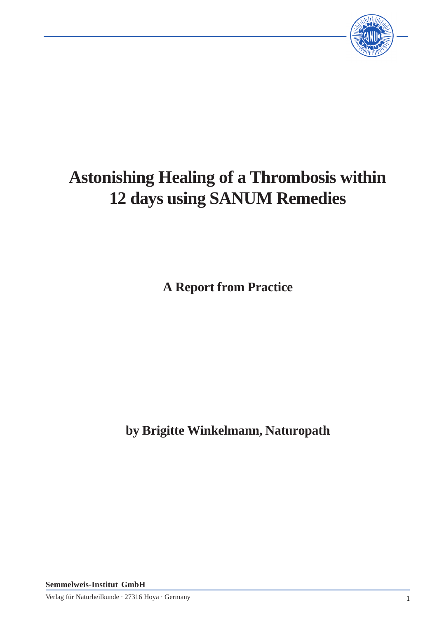

## **Astonishing Healing of a Thrombosis within 12 days using SANUM Remedies**

**A Report from Practice**

**by Brigitte Winkelmann, Naturopath**

**Semmelweis-Institut GmbH**